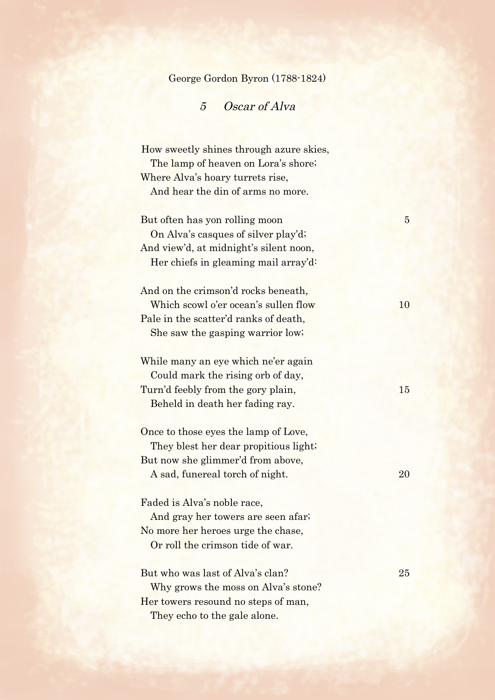George Gordon Byron (1788-1824)

## 5 Oscar of Alva

How sweetly shines through azure skies, The lamp of heaven on Lora's shore; Where Alva's hoary turrets rise, And hear the din of arms no more.

But often has yon rolling moon 5 On Alva's casques of silver play'd; And view'd, at midnight's silent noon, Her chiefs in gleaming mail array'd:

And on the crimson'd rocks beneath, Which scowl o'er ocean's sullen flow 10 Pale in the scatter'd ranks of death, She saw the gasping warrior low;

While many an eye which ne'er again Could mark the rising orb of day, Turn'd feebly from the gory plain, 15 Beheld in death her fading ray.

Once to those eyes the lamp of Love, They blest her dear propitious light; But now she glimmer'd from above, A sad, funereal torch of night. 20

Faded is Alva's noble race,

And gray her towers are seen afar; No more her heroes urge the chase, Or roll the crimson tide of war.

## But who was last of Alva's clan? 25

Why grows the moss on Alva's stone? Her towers resound no steps of man. They echo to the gale alone.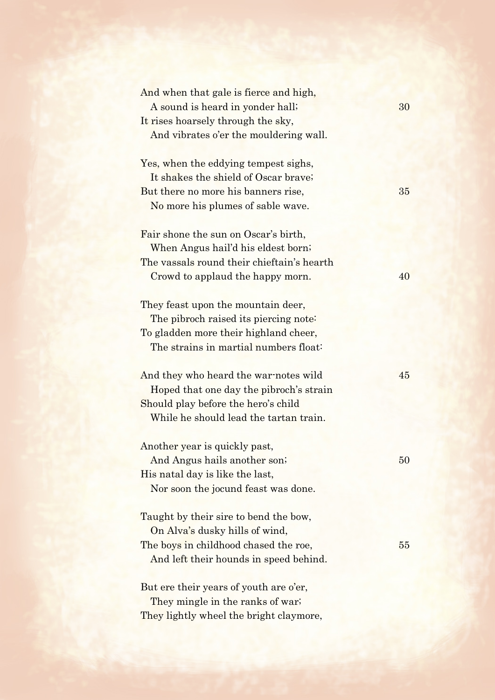| And when that gale is fierce and high,     |    |
|--------------------------------------------|----|
| A sound is heard in yonder hall;           | 30 |
| It rises hoarsely through the sky,         |    |
| And vibrates o'er the mouldering wall.     |    |
| Yes, when the eddying tempest sighs,       |    |
| It shakes the shield of Oscar brave;       |    |
| But there no more his banners rise,        | 35 |
| No more his plumes of sable wave.          |    |
| Fair shone the sun on Oscar's birth,       |    |
| When Angus hail'd his eldest born;         |    |
| The vassals round their chieftain's hearth |    |
| Crowd to applaud the happy morn.           | 40 |
| They feast upon the mountain deer,         |    |
| The pibroch raised its piercing note:      |    |
| To gladden more their highland cheer,      |    |
| The strains in martial numbers float:      |    |
| And they who heard the war-notes wild      | 45 |
| Hoped that one day the pibroch's strain    |    |
| Should play before the hero's child        |    |
| While he should lead the tartan train.     |    |
| Another year is quickly past,              |    |
| And Angus hails another son;               | 50 |
| His natal day is like the last,            |    |
| Nor soon the jocund feast was done.        |    |
| Taught by their sire to bend the bow,      |    |
| On Alva's dusky hills of wind,             |    |
| The boys in childhood chased the roe,      | 55 |
| And left their hounds in speed behind.     |    |
| But ere their years of youth are o'er,     |    |
| They mingle in the ranks of war.           |    |
| They lightly wheel the bright claymore,    |    |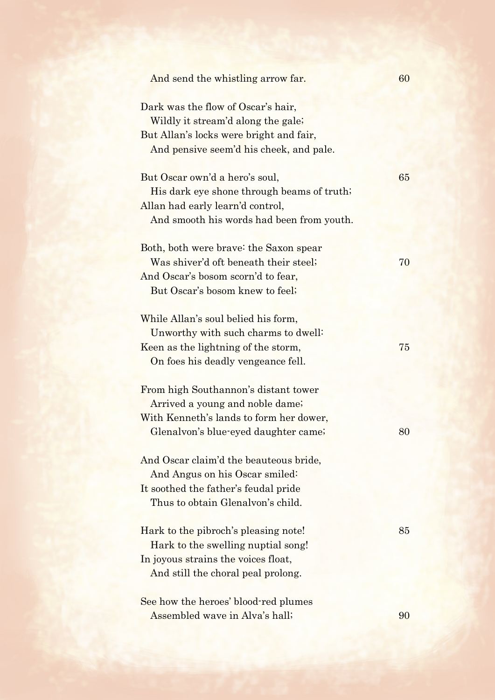| And send the whistling arrow far.                                                  | 60 |
|------------------------------------------------------------------------------------|----|
| Dark was the flow of Oscar's hair,<br>Wildly it stream'd along the gale;           |    |
| But Allan's locks were bright and fair,<br>And pensive seem'd his cheek, and pale. |    |
| But Oscar own'd a hero's soul,                                                     | 65 |
| His dark eye shone through beams of truth;                                         |    |
| Allan had early learn'd control,                                                   |    |
| And smooth his words had been from youth.                                          |    |
| Both, both were brave: the Saxon spear                                             |    |
| Was shiver'd oft beneath their steel;                                              | 70 |
| And Oscar's bosom scorn'd to fear,                                                 |    |
| But Oscar's bosom knew to feel;                                                    |    |
| While Allan's soul belied his form,                                                |    |
| Unworthy with such charms to dwell:                                                |    |
| Keen as the lightning of the storm,                                                | 75 |
| On foes his deadly vengeance fell.                                                 |    |
| From high Southannon's distant tower                                               |    |
| Arrived a young and noble dame;                                                    |    |
| With Kenneth's lands to form her dower,                                            |    |
| Glenalvon's blue-eyed daughter came;                                               | 80 |
| And Oscar claim'd the beauteous bride,                                             |    |
| And Angus on his Oscar smiled:                                                     |    |
| It soothed the father's feudal pride                                               |    |
| Thus to obtain Glenalvon's child.                                                  |    |
| Hark to the pibroch's pleasing note!                                               | 85 |
| Hark to the swelling nuptial song!                                                 |    |
| In joyous strains the voices float,                                                |    |
| And still the choral peal prolong.                                                 |    |
| See how the heroes' blood-red plumes                                               |    |
| Assembled wave in Alva's hall;                                                     | 90 |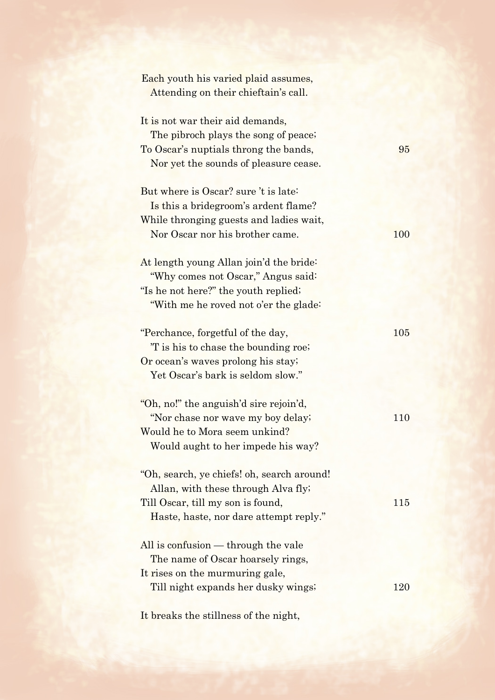| Each youth his varied plaid assumes,       |     |
|--------------------------------------------|-----|
| Attending on their chieftain's call.       |     |
| It is not war their aid demands,           |     |
| The pibroch plays the song of peace;       |     |
| To Oscar's nuptials throng the bands,      | 95  |
| Nor yet the sounds of pleasure cease.      |     |
|                                            |     |
| But where is Oscar? sure 't is late.       |     |
| Is this a bride groom's ardent flame?      |     |
| While thronging guests and ladies wait,    |     |
| Nor Oscar nor his brother came.            | 100 |
|                                            |     |
| At length young Allan join'd the bride:    |     |
| "Why comes not Oscar," Angus said:         |     |
| "Is he not here?" the youth replied;       |     |
| "With me he roved not o'er the glade:      |     |
| "Perchance, forgetful of the day,          | 105 |
| T is his to chase the bounding roe.        |     |
| Or ocean's waves prolong his stay.         |     |
| Yet Oscar's bark is seldom slow."          |     |
|                                            |     |
| "Oh, no!" the anguish'd sire rejoin'd,     |     |
| "Nor chase nor wave my boy delay;          | 110 |
| Would he to Mora seem unkind?              |     |
| Would aught to her impede his way?         |     |
| "Oh, search, ye chiefs! oh, search around! |     |
| Allan, with these through Alva fly;        |     |
| Till Oscar, till my son is found,          | 115 |
| Haste, haste, nor dare attempt reply."     |     |
|                                            |     |
| All is confusion — through the vale        |     |
| The name of Oscar hoarsely rings,          |     |
| It rises on the murmuring gale,            |     |
| Till night expands her dusky wings;        | 120 |
|                                            |     |

It breaks the stillness of the night,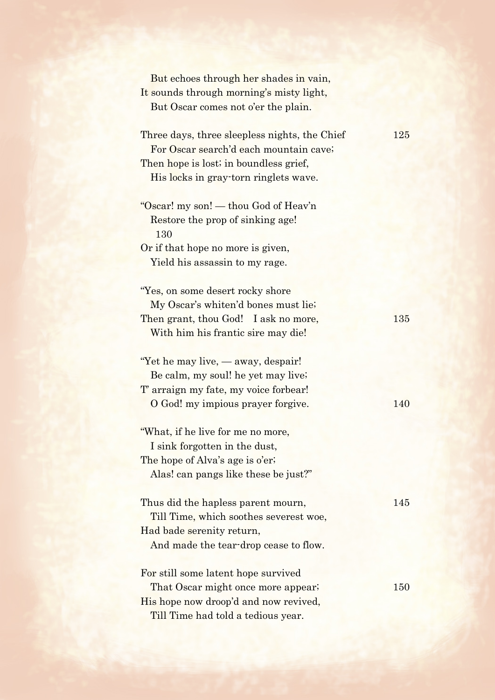| But echoes through her shades in vain,<br>It sounds through morning's misty light,<br>But Oscar comes not o'er the plain.                                                  |     |
|----------------------------------------------------------------------------------------------------------------------------------------------------------------------------|-----|
| Three days, three sleepless nights, the Chief<br>For Oscar search'd each mountain cave;<br>Then hope is lost; in boundless grief,<br>His locks in gray-torn ringlets wave. | 125 |
| "Oscar! my son! — thou God of Heav'n<br>Restore the prop of sinking age!<br>130<br>Or if that hope no more is given,<br>Yield his assassin to my rage.                     |     |
| "Yes, on some desert rocky shore<br>My Oscar's whiten'd bones must lie;<br>Then grant, thou God! I ask no more,<br>With him his frantic sire may die!                      | 135 |
| "Yet he may live, — away, despair!"<br>Be calm, my soul! he yet may live;<br>T' arraign my fate, my voice forbear!<br>O God! my impious prayer forgive.                    | 140 |
| "What, if he live for me no more,<br>I sink forgotten in the dust,<br>The hope of Alva's age is o'er;<br>Alas! can pangs like these be just?"                              |     |
| Thus did the hapless parent mourn,<br>Till Time, which soothes severest woe,<br>Had bade serenity return,<br>And made the tear-drop cease to flow.                         | 145 |
| For still some latent hope survived<br>That Oscar might once more appear;<br>His hope now droop'd and now revived,<br>Till Time had told a tedious year.                   | 150 |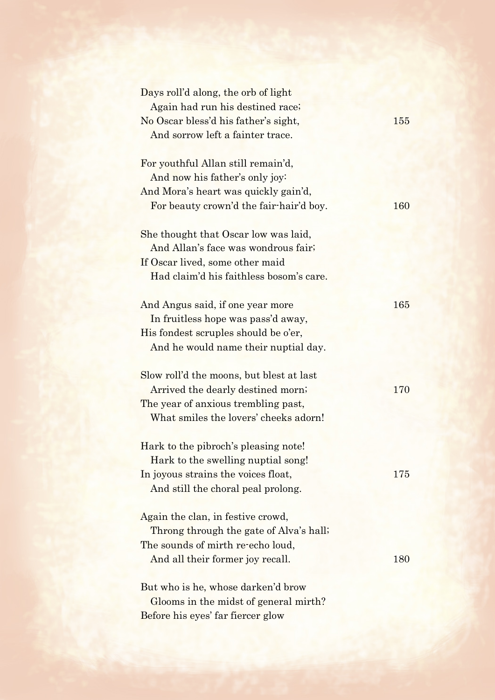| Days roll'd along, the orb of light<br>Again had run his destined race;<br>No Oscar bless'd his father's sight,<br>And sorrow left a fainter trace.           | 155 |
|---------------------------------------------------------------------------------------------------------------------------------------------------------------|-----|
| For youthful Allan still remain'd,<br>And now his father's only joy:<br>And Mora's heart was quickly gain'd,<br>For beauty crown'd the fair-hair'd boy.       | 160 |
| She thought that Oscar low was laid,<br>And Allan's face was wondrous fair;<br>If Oscar lived, some other maid<br>Had claim'd his faithless bosom's care.     |     |
| And Angus said, if one year more<br>In fruitless hope was pass'd away,<br>His fondest scruples should be o'er,<br>And he would name their nuptial day.        | 165 |
| Slow roll'd the moons, but blest at last<br>Arrived the dearly destined morn;<br>The year of anxious trembling past,<br>What smiles the lovers' cheeks adorn! | 170 |
| Hark to the pibroch's pleasing note!<br>Hark to the swelling nuptial song!<br>In joyous strains the voices float,<br>And still the choral peal prolong.       | 175 |
| Again the clan, in festive crowd,<br>Throng through the gate of Alva's hall;<br>The sounds of mirth re-echo loud,<br>And all their former joy recall.         | 180 |
| But who is he, whose darken'd brow<br>Glooms in the midst of general mirth?<br>Before his eyes' far fiercer glow                                              |     |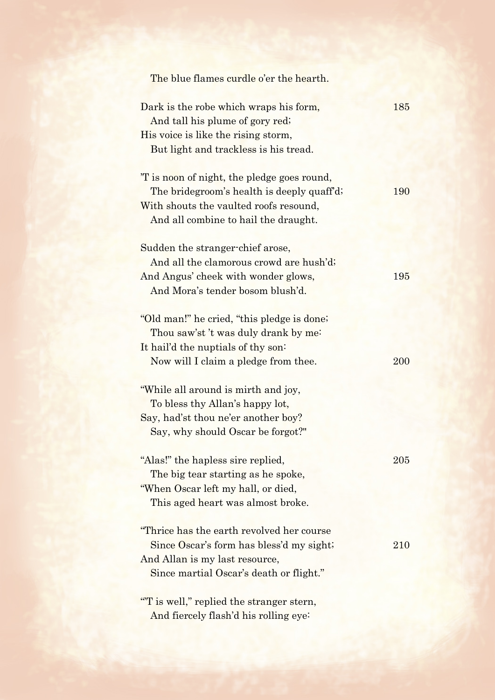| The blue flames curdle o'er the hearth.                                                                                                                                    |     |
|----------------------------------------------------------------------------------------------------------------------------------------------------------------------------|-----|
| Dark is the robe which wraps his form,<br>And tall his plume of gory red;<br>His voice is like the rising storm,<br>But light and trackless is his tread.                  | 185 |
| T is noon of night, the pledge goes round,<br>The bridegroom's health is deeply quaff'd;<br>With shouts the vaulted roofs resound,<br>And all combine to hail the draught. | 190 |
| Sudden the stranger-chief arose,<br>And all the clamorous crowd are hush'd;<br>And Angus' cheek with wonder glows,<br>And Mora's tender bosom blush'd.                     | 195 |
| "Old man!" he cried, "this pledge is done?"<br>Thou saw'st't was duly drank by me:<br>It hail'd the nuptials of thy son:<br>Now will I claim a pledge from thee.           | 200 |
| "While all around is mirth and joy,<br>To bless thy Allan's happy lot,<br>Say, had'st thou ne'er another boy?<br>Say, why should Oscar be forgot?"                         |     |
| "Alas!" the hapless sire replied,<br>The big tear starting as he spoke,<br>"When Oscar left my hall, or died,<br>This aged heart was almost broke.                         | 205 |
| "Thrice has the earth revolved her course"<br>Since Oscar's form has bless'd my sight;<br>And Allan is my last resource,<br>Since martial Oscar's death or flight."        | 210 |
| "T is well," replied the stranger stern,<br>And fiercely flash'd his rolling eye:                                                                                          |     |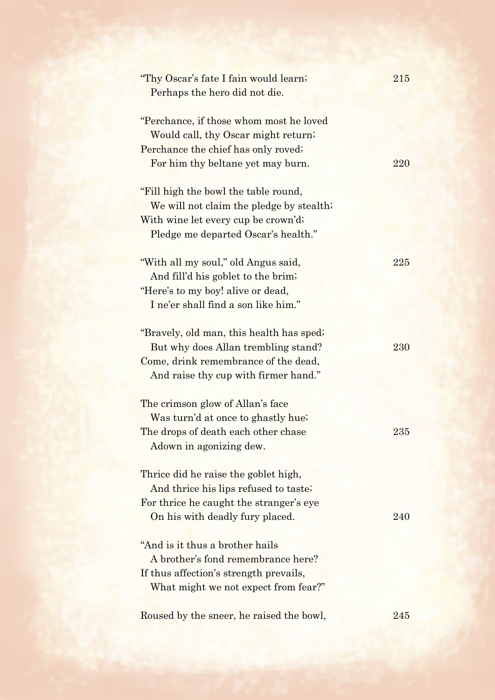| "Thy Oscar's fate I fain would learn;<br>Perhaps the hero did not die.                                                | 215 |
|-----------------------------------------------------------------------------------------------------------------------|-----|
| "Perchance, if those whom most he loved<br>Would call, thy Oscar might return;<br>Perchance the chief has only roved; |     |
| For him thy beltane yet may burn.                                                                                     | 220 |
| "Fill high the bowl the table round,<br>We will not claim the pledge by stealth;                                      |     |
| With wine let every cup be crown'd;<br>Pledge me departed Oscar's health."                                            |     |
| "With all my soul," old Angus said,                                                                                   | 225 |
| And fill'd his goblet to the brim;                                                                                    |     |
| "Here's to my boy! alive or dead,<br>I ne'er shall find a son like him."                                              |     |
|                                                                                                                       |     |
| "Bravely, old man, this health has sped;                                                                              |     |
| But why does Allan trembling stand?                                                                                   | 230 |
| Come, drink remembrance of the dead,                                                                                  |     |
| And raise thy cup with firmer hand."                                                                                  |     |
| The crimson glow of Allan's face                                                                                      |     |
| Was turn'd at once to ghastly hue;                                                                                    |     |
| The drops of death each other chase                                                                                   | 235 |
| Adown in agonizing dew.                                                                                               |     |
| Thrice did he raise the goblet high,                                                                                  |     |
| And thrice his lips refused to taste;                                                                                 |     |
| For thrice he caught the stranger's eye                                                                               |     |
| On his with deadly fury placed.                                                                                       | 240 |
| "And is it thus a brother hails"                                                                                      |     |
| A brother's fond remembrance here?                                                                                    |     |
| If thus affection's strength prevails,                                                                                |     |
| What might we not expect from fear?"                                                                                  |     |
|                                                                                                                       |     |
| Roused by the sneer, he raised the bowl,                                                                              | 245 |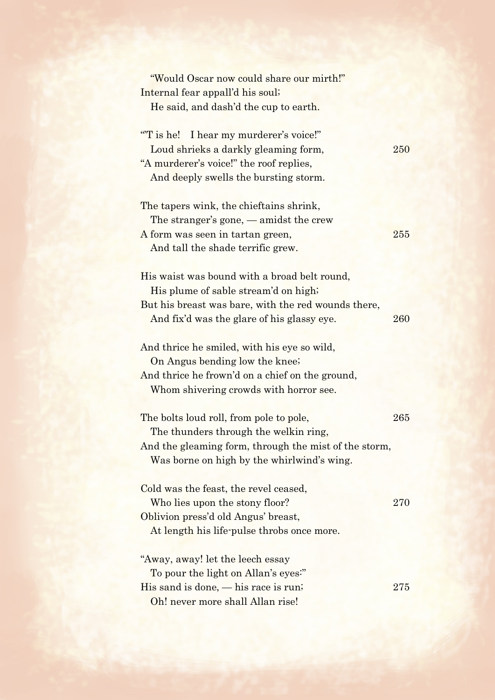| "Would Oscar now could share our mirth!"              |     |
|-------------------------------------------------------|-----|
| Internal fear appall'd his soul;                      |     |
| He said, and dash'd the cup to earth.                 |     |
|                                                       |     |
| "T is he! I hear my murderer's voice!"                |     |
| Loud shrieks a darkly gleaming form,                  | 250 |
| "A murderer's voice!" the roof replies,               |     |
| And deeply swells the bursting storm.                 |     |
| The tapers wink, the chieftains shrink,               |     |
| The stranger's gone, $-$ amidst the crew              |     |
| A form was seen in tartan green,                      | 255 |
| And tall the shade terrific grew.                     |     |
|                                                       |     |
| His waist was bound with a broad belt round,          |     |
| His plume of sable stream'd on high;                  |     |
| But his breast was bare, with the red wounds there,   |     |
| And fix'd was the glare of his glassy eye.            | 260 |
|                                                       |     |
| And thrice he smiled, with his eye so wild,           |     |
| On Angus bending low the knee;                        |     |
| And thrice he frown'd on a chief on the ground,       |     |
| Whom shivering crowds with horror see.                |     |
|                                                       |     |
| The bolts loud roll, from pole to pole,               | 265 |
| The thunders through the welkin ring,                 |     |
| And the gleaming form, through the mist of the storm, |     |
| Was borne on high by the whirlwind's wing.            |     |
|                                                       |     |
| Cold was the feast, the revel ceased,                 |     |
| Who lies upon the stony floor?                        | 270 |
| Oblivion press'd old Angus' breast,                   |     |
| At length his life-pulse throbs once more.            |     |
| "Away, away! let the leech essay                      |     |
| To pour the light on Allan's eyes."                   |     |
| His sand is done, $-\text{his race}$ is run;          | 275 |
| Oh! never more shall Allan rise!                      |     |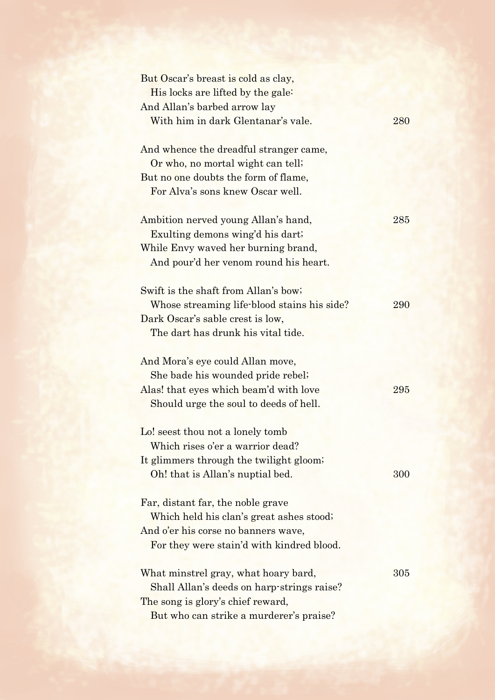| But Oscar's breast is cold as clay,         |     |
|---------------------------------------------|-----|
| His locks are lifted by the gale:           |     |
| And Allan's barbed arrow lay                |     |
| With him in dark Glentanar's vale.          | 280 |
| And whence the dreadful stranger came,      |     |
| Or who, no mortal wight can tell;           |     |
| But no one doubts the form of flame,        |     |
| For Alva's sons knew Oscar well.            |     |
| Ambition nerved young Allan's hand,         | 285 |
| Exulting demons wing'd his dart;            |     |
| While Envy waved her burning brand,         |     |
| And pour'd her venom round his heart.       |     |
| Swift is the shaft from Allan's bow;        |     |
| Whose streaming life-blood stains his side? | 290 |
| Dark Oscar's sable crest is low,            |     |
| The dart has drunk his vital tide.          |     |
| And Mora's eye could Allan move,            |     |
| She bade his wounded pride rebel;           |     |
| Alas! that eyes which beam'd with love      | 295 |
| Should urge the soul to deeds of hell.      |     |
| Lo! seest thou not a lonely tomb            |     |
| Which rises o'er a warrior dead?            |     |
| It glimmers through the twilight gloom;     |     |
| Oh! that is Allan's nuptial bed.            | 300 |
| Far, distant far, the noble grave           |     |
| Which held his clan's great ashes stood;    |     |
| And o'er his corse no banners wave,         |     |
| For they were stain'd with kindred blood.   |     |
| What minstrel gray, what hoary bard,        | 305 |
| Shall Allan's deeds on harp-strings raise?  |     |
| The song is glory's chief reward,           |     |
| But who can strike a murderer's praise?     |     |